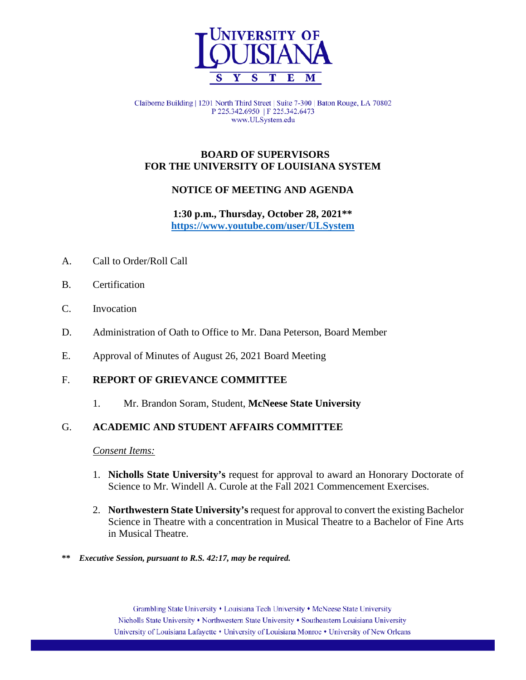

Claiborne Building | 1201 North Third Street | Suite 7-300 | Baton Rouge, LA 70802 P 225.342.6950 | F 225.342.6473 www.ULSystem.edu

### **BOARD OF SUPERVISORS FOR THE UNIVERSITY OF LOUISIANA SYSTEM**

# **NOTICE OF MEETING AND AGENDA**

**1:30 p.m., Thursday, October 28, 2021\*\* <https://www.youtube.com/user/ULSystem>**

- A. Call to Order/Roll Call
- B. Certification
- C. Invocation
- D. Administration of Oath to Office to Mr. Dana Peterson, Board Member
- E. Approval of Minutes of August 26, 2021 Board Meeting

### F. **REPORT OF GRIEVANCE COMMITTEE**

1. Mr. Brandon Soram, Student, **McNeese State University**

### G. **ACADEMIC AND STUDENT AFFAIRS COMMITTEE**

### *Consent Items:*

- 1. **Nicholls State University's** request for approval to award an Honorary Doctorate of Science to Mr. Windell A. Curole at the Fall 2021 Commencement Exercises.
- 2. **Northwestern State University's** request for approval to convert the existing Bachelor Science in Theatre with a concentration in Musical Theatre to a Bachelor of Fine Arts in Musical Theatre.
- **\*\*** *Executive Session, pursuant to R.S. 42:17, may be required.*

Grambling State University • Louisiana Tech University • McNeese State University Nicholls State University • Northwestern State University • Southeastern Louisiana University University of Louisiana Lafayette • University of Louisiana Monroe • University of New Orleans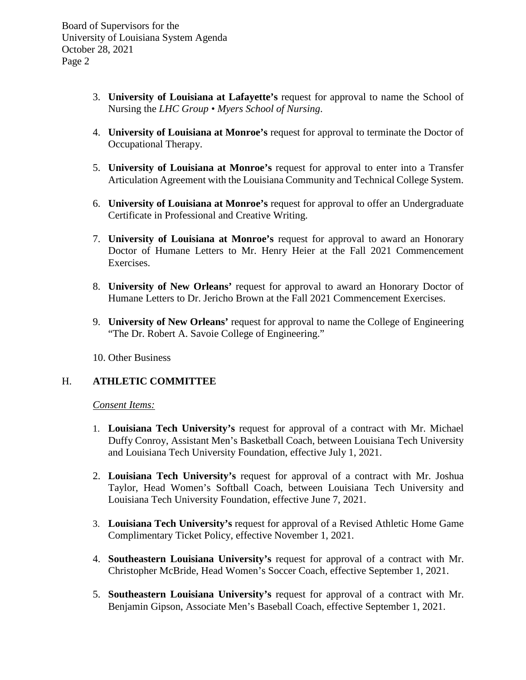- 3. **University of Louisiana at Lafayette's** request for approval to name the School of Nursing the *LHC Group • Myers School of Nursing*.
- 4. **University of Louisiana at Monroe's** request for approval to terminate the Doctor of Occupational Therapy.
- 5. **University of Louisiana at Monroe's** request for approval to enter into a Transfer Articulation Agreement with the Louisiana Community and Technical College System.
- 6. **University of Louisiana at Monroe's** request for approval to offer an Undergraduate Certificate in Professional and Creative Writing.
- 7. **University of Louisiana at Monroe's** request for approval to award an Honorary Doctor of Humane Letters to Mr. Henry Heier at the Fall 2021 Commencement Exercises.
- 8. **University of New Orleans'** request for approval to award an Honorary Doctor of Humane Letters to Dr. Jericho Brown at the Fall 2021 Commencement Exercises.
- 9. **University of New Orleans'** request for approval to name the College of Engineering "The Dr. Robert A. Savoie College of Engineering."

10. Other Business

### H. **ATHLETIC COMMITTEE**

#### *Consent Items:*

- 1. **Louisiana Tech University's** request for approval of a contract with Mr. Michael Duffy Conroy, Assistant Men's Basketball Coach, between Louisiana Tech University and Louisiana Tech University Foundation, effective July 1, 2021.
- 2. **Louisiana Tech University's** request for approval of a contract with Mr. Joshua Taylor, Head Women's Softball Coach, between Louisiana Tech University and Louisiana Tech University Foundation, effective June 7, 2021.
- 3. **Louisiana Tech University's** request for approval of a Revised Athletic Home Game Complimentary Ticket Policy, effective November 1, 2021.
- 4. **Southeastern Louisiana University's** request for approval of a contract with Mr. Christopher McBride, Head Women's Soccer Coach, effective September 1, 2021.
- 5. **Southeastern Louisiana University's** request for approval of a contract with Mr. Benjamin Gipson, Associate Men's Baseball Coach, effective September 1, 2021.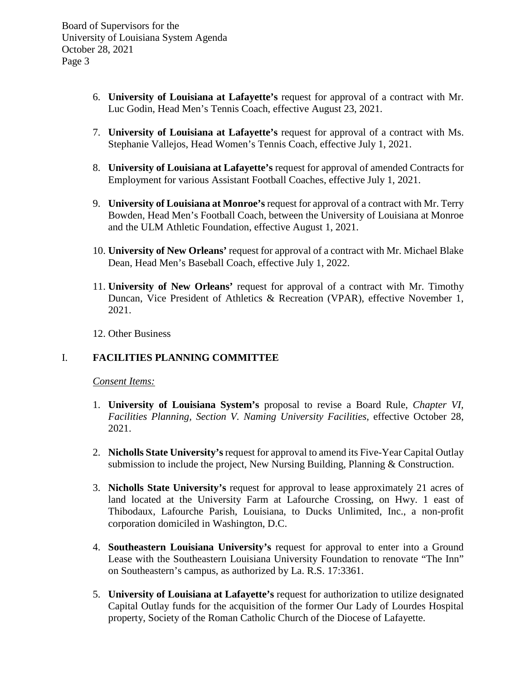- 6. **University of Louisiana at Lafayette's** request for approval of a contract with Mr. Luc Godin, Head Men's Tennis Coach, effective August 23, 2021.
- 7. **University of Louisiana at Lafayette's** request for approval of a contract with Ms. Stephanie Vallejos, Head Women's Tennis Coach, effective July 1, 2021.
- 8. **University of Louisiana at Lafayette's** request for approval of amended Contracts for Employment for various Assistant Football Coaches, effective July 1, 2021.
- 9. **University of Louisiana at Monroe's** request for approval of a contract with Mr. Terry Bowden, Head Men's Football Coach, between the University of Louisiana at Monroe and the ULM Athletic Foundation, effective August 1, 2021.
- 10. **University of New Orleans'** request for approval of a contract with Mr. Michael Blake Dean, Head Men's Baseball Coach, effective July 1, 2022.
- 11. **University of New Orleans'** request for approval of a contract with Mr. Timothy Duncan, Vice President of Athletics & Recreation (VPAR), effective November 1, 2021.
- 12. Other Business

### I. **FACILITIES PLANNING COMMITTEE**

*Consent Items:*

- 1. **University of Louisiana System's** proposal to revise a Board Rule, *Chapter VI, Facilities Planning, Section V. Naming University Facilities,* effective October 28, 2021.
- 2. **Nicholls State University's**request for approval to amend its Five-Year Capital Outlay submission to include the project, New Nursing Building, Planning & Construction.
- 3. **Nicholls State University's** request for approval to lease approximately 21 acres of land located at the University Farm at Lafourche Crossing, on Hwy. 1 east of Thibodaux, Lafourche Parish, Louisiana, to Ducks Unlimited, Inc., a non-profit corporation domiciled in Washington, D.C.
- 4. **Southeastern Louisiana University's** request for approval to enter into a Ground Lease with the Southeastern Louisiana University Foundation to renovate "The Inn" on Southeastern's campus, as authorized by La. R.S. 17:3361.
- 5. **University of Louisiana at Lafayette's** request for authorization to utilize designated Capital Outlay funds for the acquisition of the former Our Lady of Lourdes Hospital property, Society of the Roman Catholic Church of the Diocese of Lafayette.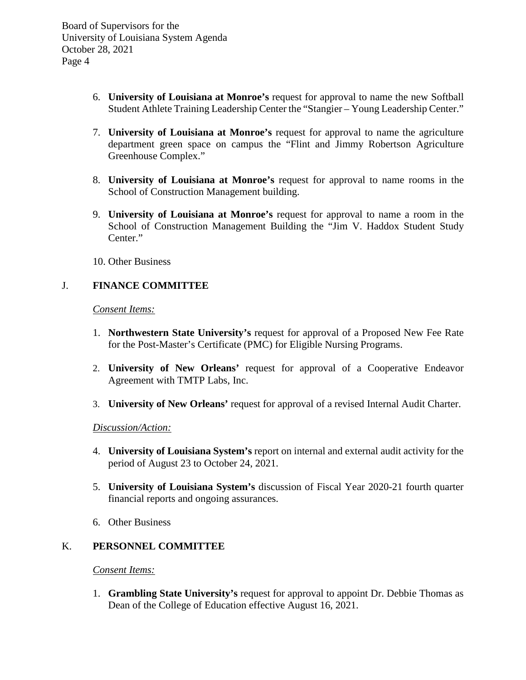- 6. **University of Louisiana at Monroe's** request for approval to name the new Softball Student Athlete Training Leadership Center the "Stangier – Young Leadership Center."
- 7. **University of Louisiana at Monroe's** request for approval to name the agriculture department green space on campus the "Flint and Jimmy Robertson Agriculture Greenhouse Complex."
- 8. **University of Louisiana at Monroe's** request for approval to name rooms in the School of Construction Management building.
- 9. **University of Louisiana at Monroe's** request for approval to name a room in the School of Construction Management Building the "Jim V. Haddox Student Study Center."
- 10. Other Business

# J. **FINANCE COMMITTEE**

*Consent Items:*

- 1. **Northwestern State University's** request for approval of a Proposed New Fee Rate for the Post-Master's Certificate (PMC) for Eligible Nursing Programs.
- 2. **University of New Orleans'** request for approval of a Cooperative Endeavor Agreement with TMTP Labs, Inc.
- 3. **University of New Orleans'** request for approval of a revised Internal Audit Charter.

### *Discussion/Action:*

- 4. **University of Louisiana System's** report on internal and external audit activity for the period of August 23 to October 24, 2021.
- 5. **University of Louisiana System's** discussion of Fiscal Year 2020-21 fourth quarter financial reports and ongoing assurances.
- 6. Other Business

# K. **PERSONNEL COMMITTEE**

*Consent Items:*

1. **Grambling State University's** request for approval to appoint Dr. Debbie Thomas as Dean of the College of Education effective August 16, 2021.